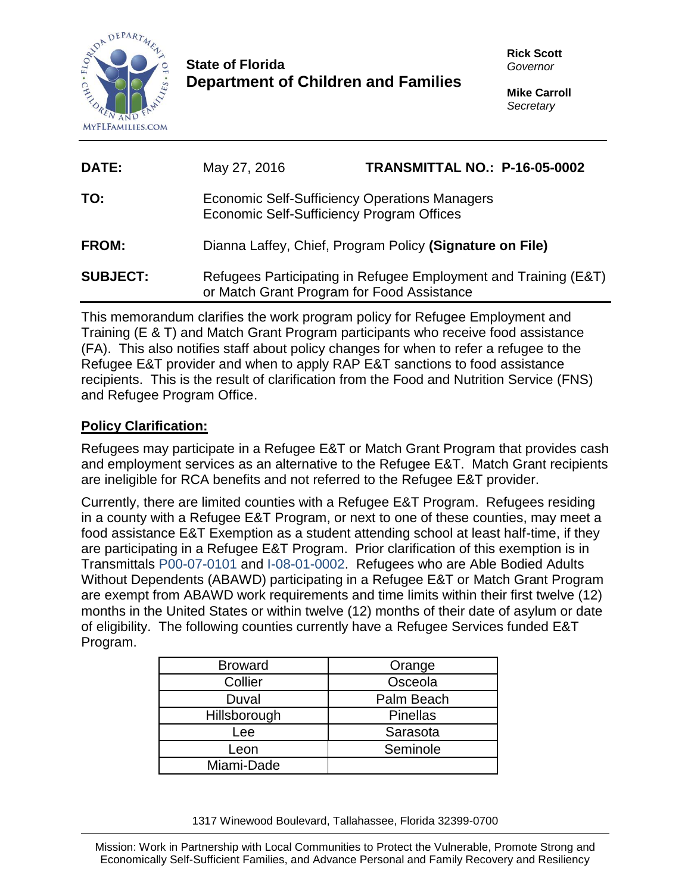

# **State of Florida Department of Children and Families**

| DATE:           | May 27, 2016                                                                                                  | TRANSMITTAL NO.: P-16-05-0002 |
|-----------------|---------------------------------------------------------------------------------------------------------------|-------------------------------|
| TO:             | Economic Self-Sufficiency Operations Managers<br>Economic Self-Sufficiency Program Offices                    |                               |
| <b>FROM:</b>    | Dianna Laffey, Chief, Program Policy (Signature on File)                                                      |                               |
| <b>SUBJECT:</b> | Refugees Participating in Refugee Employment and Training (E&T)<br>or Match Grant Program for Food Assistance |                               |

This memorandum clarifies the work program policy for Refugee Employment and Training (E & T) and Match Grant Program participants who receive food assistance (FA). This also notifies staff about policy changes for when to refer a refugee to the Refugee E&T provider and when to apply RAP E&T sanctions to food assistance recipients. This is the result of clarification from the Food and Nutrition Service (FNS) and Refugee Program Office.

# **Policy Clarification:**

Refugees may participate in a Refugee E&T or Match Grant Program that provides cash and employment services as an alternative to the Refugee E&T. Match Grant recipients are ineligible for RCA benefits and not referred to the Refugee E&T provider.

Currently, there are limited counties with a Refugee E&T Program. Refugees residing in a county with a Refugee E&T Program, or next to one of these counties, may meet a food assistance E&T Exemption as a student attending school at least half-time, if they are participating in a Refugee E&T Program. Prior clarification of this exemption is in Transmittals P00-07-0101 and I-08-01-0002. Refugees who are Able Bodied Adults Without Dependents (ABAWD) participating in a Refugee E&T or Match Grant Program are exempt from ABAWD work requirements and time limits within their first twelve (12) months in the United States or within twelve (12) months of their date of asylum or date of eligibility. The following counties currently have a Refugee Services funded E&T Program.

| Orange          |
|-----------------|
| Osceola         |
| Palm Beach      |
| <b>Pinellas</b> |
| Sarasota        |
| Seminole        |
|                 |
|                 |

1317 Winewood Boulevard, Tallahassee, Florida 32399-0700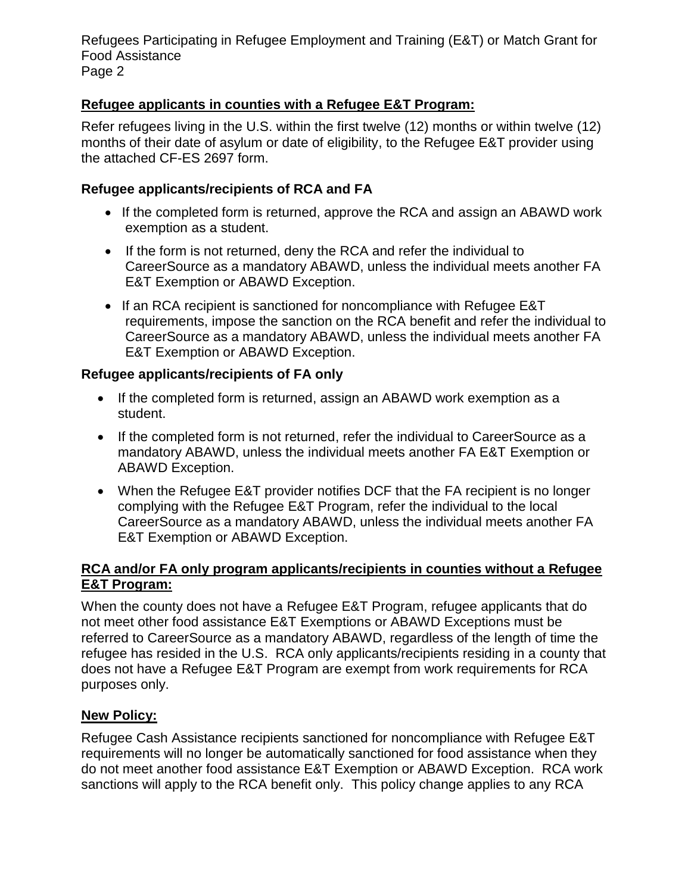Refugees Participating in Refugee Employment and Training (E&T) or Match Grant for Food Assistance Page 2

## **Refugee applicants in counties with a Refugee E&T Program:**

Refer refugees living in the U.S. within the first twelve (12) months or within twelve (12) months of their date of asylum or date of eligibility, to the Refugee E&T provider using the attached CF-ES 2697 form.

### **Refugee applicants/recipients of RCA and FA**

- If the completed form is returned, approve the RCA and assign an ABAWD work exemption as a student.
- If the form is not returned, deny the RCA and refer the individual to CareerSource as a mandatory ABAWD, unless the individual meets another FA E&T Exemption or ABAWD Exception.
- If an RCA recipient is sanctioned for noncompliance with Refugee E&T requirements, impose the sanction on the RCA benefit and refer the individual to CareerSource as a mandatory ABAWD, unless the individual meets another FA E&T Exemption or ABAWD Exception.

#### **Refugee applicants/recipients of FA only**

- If the completed form is returned, assign an ABAWD work exemption as a student.
- If the completed form is not returned, refer the individual to CareerSource as a mandatory ABAWD, unless the individual meets another FA E&T Exemption or ABAWD Exception.
- When the Refugee E&T provider notifies DCF that the FA recipient is no longer complying with the Refugee E&T Program, refer the individual to the local CareerSource as a mandatory ABAWD, unless the individual meets another FA E&T Exemption or ABAWD Exception.

## **RCA and/or FA only program applicants/recipients in counties without a Refugee E&T Program:**

When the county does not have a Refugee E&T Program, refugee applicants that do not meet other food assistance E&T Exemptions or ABAWD Exceptions must be referred to CareerSource as a mandatory ABAWD, regardless of the length of time the refugee has resided in the U.S. RCA only applicants/recipients residing in a county that does not have a Refugee E&T Program are exempt from work requirements for RCA purposes only.

## **New Policy:**

Refugee Cash Assistance recipients sanctioned for noncompliance with Refugee E&T requirements will no longer be automatically sanctioned for food assistance when they do not meet another food assistance E&T Exemption or ABAWD Exception. RCA work sanctions will apply to the RCA benefit only. This policy change applies to any RCA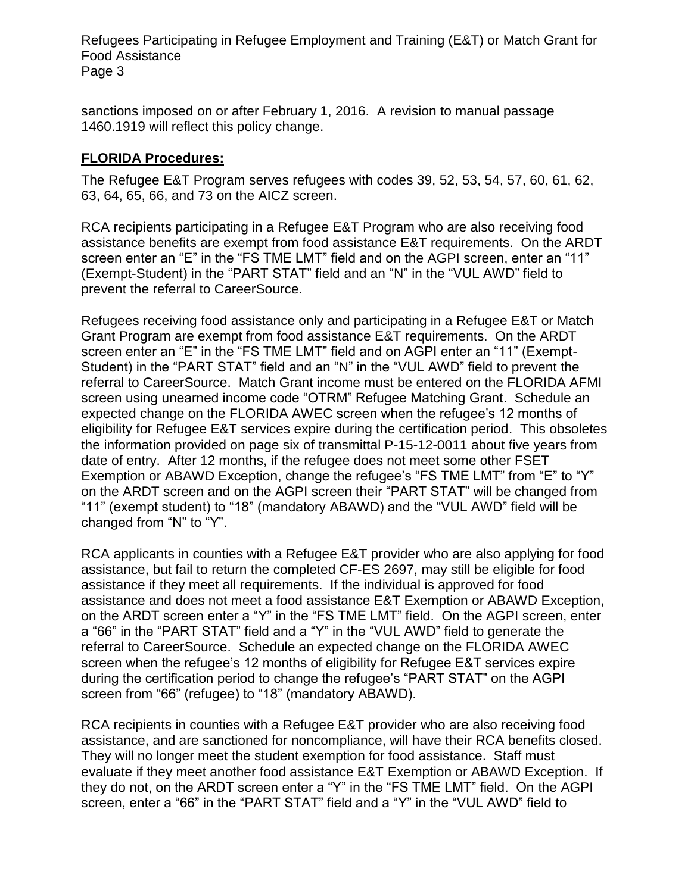Refugees Participating in Refugee Employment and Training (E&T) or Match Grant for Food Assistance Page 3

sanctions imposed on or after February 1, 2016. A revision to manual passage 1460.1919 will reflect this policy change.

## **FLORIDA Procedures:**

The Refugee E&T Program serves refugees with codes 39, 52, 53, 54, 57, 60, 61, 62, 63, 64, 65, 66, and 73 on the AICZ screen.

RCA recipients participating in a Refugee E&T Program who are also receiving food assistance benefits are exempt from food assistance E&T requirements. On the ARDT screen enter an "E" in the "FS TME LMT" field and on the AGPI screen, enter an "11" (Exempt-Student) in the "PART STAT" field and an "N" in the "VUL AWD" field to prevent the referral to CareerSource.

Refugees receiving food assistance only and participating in a Refugee E&T or Match Grant Program are exempt from food assistance E&T requirements. On the ARDT screen enter an "E" in the "FS TME LMT" field and on AGPI enter an "11" (Exempt-Student) in the "PART STAT" field and an "N" in the "VUL AWD" field to prevent the referral to CareerSource. Match Grant income must be entered on the FLORIDA AFMI screen using unearned income code "OTRM" Refugee Matching Grant. Schedule an expected change on the FLORIDA AWEC screen when the refugee's 12 months of eligibility for Refugee E&T services expire during the certification period. This obsoletes the information provided on page six of transmittal P-15-12-0011 about five years from date of entry. After 12 months, if the refugee does not meet some other FSET Exemption or ABAWD Exception, change the refugee's "FS TME LMT" from "E" to "Y" on the ARDT screen and on the AGPI screen their "PART STAT" will be changed from "11" (exempt student) to "18" (mandatory ABAWD) and the "VUL AWD" field will be changed from "N" to "Y".

RCA applicants in counties with a Refugee E&T provider who are also applying for food assistance, but fail to return the completed CF-ES 2697, may still be eligible for food assistance if they meet all requirements. If the individual is approved for food assistance and does not meet a food assistance E&T Exemption or ABAWD Exception, on the ARDT screen enter a "Y" in the "FS TME LMT" field. On the AGPI screen, enter a "66" in the "PART STAT" field and a "Y" in the "VUL AWD" field to generate the referral to CareerSource. Schedule an expected change on the FLORIDA AWEC screen when the refugee's 12 months of eligibility for Refugee E&T services expire during the certification period to change the refugee's "PART STAT" on the AGPI screen from "66" (refugee) to "18" (mandatory ABAWD).

RCA recipients in counties with a Refugee E&T provider who are also receiving food assistance, and are sanctioned for noncompliance, will have their RCA benefits closed. They will no longer meet the student exemption for food assistance. Staff must evaluate if they meet another food assistance E&T Exemption or ABAWD Exception. If they do not, on the ARDT screen enter a "Y" in the "FS TME LMT" field. On the AGPI screen, enter a "66" in the "PART STAT" field and a "Y" in the "VUL AWD" field to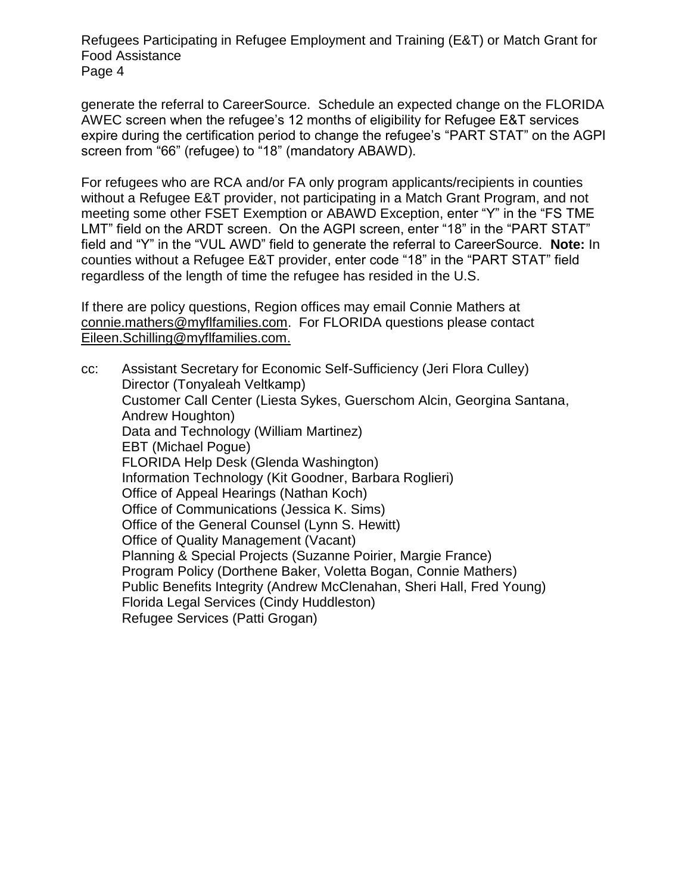Refugees Participating in Refugee Employment and Training (E&T) or Match Grant for Food Assistance Page 4

generate the referral to CareerSource. Schedule an expected change on the FLORIDA AWEC screen when the refugee's 12 months of eligibility for Refugee E&T services expire during the certification period to change the refugee's "PART STAT" on the AGPI screen from "66" (refugee) to "18" (mandatory ABAWD).

For refugees who are RCA and/or FA only program applicants/recipients in counties without a Refugee E&T provider, not participating in a Match Grant Program, and not meeting some other FSET Exemption or ABAWD Exception, enter "Y" in the "FS TME LMT" field on the ARDT screen. On the AGPI screen, enter "18" in the "PART STAT" field and "Y" in the "VUL AWD" field to generate the referral to CareerSource. **Note:** In counties without a Refugee E&T provider, enter code "18" in the "PART STAT" field regardless of the length of time the refugee has resided in the U.S.

If there are policy questions, Region offices may email Connie Mathers at [connie.mathers@myflfamilies.com.](mailto:connie.mathers@myflfamilies.com) For FLORIDA questions please contact Eileen.Schilling@myflfamilies.com.

cc: Assistant Secretary for Economic Self-Sufficiency (Jeri Flora Culley) Director (Tonyaleah Veltkamp) Customer Call Center (Liesta Sykes, Guerschom Alcin, Georgina Santana, Andrew Houghton) Data and Technology (William Martinez) EBT (Michael Pogue) FLORIDA Help Desk (Glenda Washington) Information Technology (Kit Goodner, Barbara Roglieri) Office of Appeal Hearings (Nathan Koch) Office of Communications (Jessica K. Sims) Office of the General Counsel (Lynn S. Hewitt) Office of Quality Management (Vacant) Planning & Special Projects (Suzanne Poirier, Margie France) Program Policy (Dorthene Baker, Voletta Bogan, Connie Mathers) Public Benefits Integrity (Andrew McClenahan, Sheri Hall, Fred Young) Florida Legal Services (Cindy Huddleston) Refugee Services (Patti Grogan)